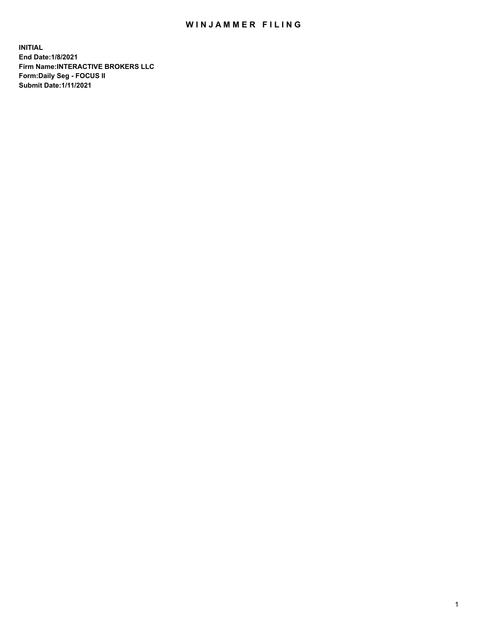## WIN JAMMER FILING

**INITIAL End Date:1/8/2021 Firm Name:INTERACTIVE BROKERS LLC Form:Daily Seg - FOCUS II Submit Date:1/11/2021**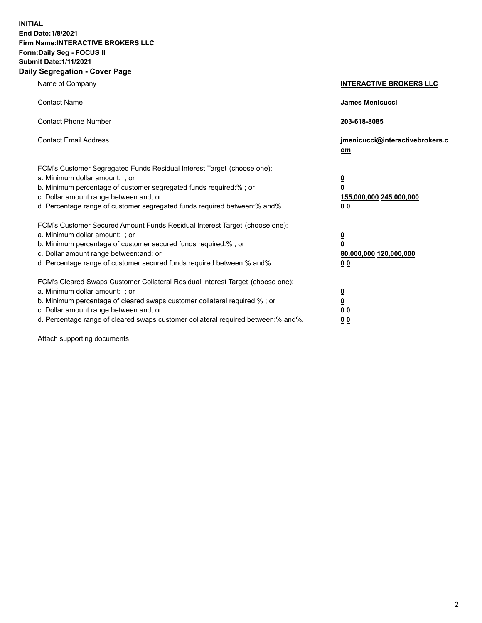**INITIAL End Date:1/8/2021 Firm Name:INTERACTIVE BROKERS LLC Form:Daily Seg - FOCUS II Submit Date:1/11/2021 Daily Segregation - Cover Page**

| Name of Company                                                                                                                                                                                                                                                                                                               | <b>INTERACTIVE BROKERS LLC</b>                                                            |
|-------------------------------------------------------------------------------------------------------------------------------------------------------------------------------------------------------------------------------------------------------------------------------------------------------------------------------|-------------------------------------------------------------------------------------------|
| <b>Contact Name</b>                                                                                                                                                                                                                                                                                                           | James Menicucci                                                                           |
| <b>Contact Phone Number</b>                                                                                                                                                                                                                                                                                                   | 203-618-8085                                                                              |
| <b>Contact Email Address</b>                                                                                                                                                                                                                                                                                                  | jmenicucci@interactivebrokers.c<br><u>om</u>                                              |
| FCM's Customer Segregated Funds Residual Interest Target (choose one):<br>a. Minimum dollar amount: ; or<br>b. Minimum percentage of customer segregated funds required:% ; or<br>c. Dollar amount range between: and; or<br>d. Percentage range of customer segregated funds required between: % and %.                      | $\overline{\mathbf{0}}$<br>0<br>155,000,000 245,000,000<br>0 <sub>0</sub>                 |
| FCM's Customer Secured Amount Funds Residual Interest Target (choose one):<br>a. Minimum dollar amount: ; or<br>b. Minimum percentage of customer secured funds required:%; or<br>c. Dollar amount range between: and; or<br>d. Percentage range of customer secured funds required between:% and%.                           | <u>0</u><br>$\overline{\mathbf{0}}$<br>80,000,000 120,000,000<br>00                       |
| FCM's Cleared Swaps Customer Collateral Residual Interest Target (choose one):<br>a. Minimum dollar amount: ; or<br>b. Minimum percentage of cleared swaps customer collateral required:%; or<br>c. Dollar amount range between: and; or<br>d. Percentage range of cleared swaps customer collateral required between:% and%. | <u>0</u><br>$\underline{\mathbf{0}}$<br>$\underline{0}$ $\underline{0}$<br>0 <sub>0</sub> |

Attach supporting documents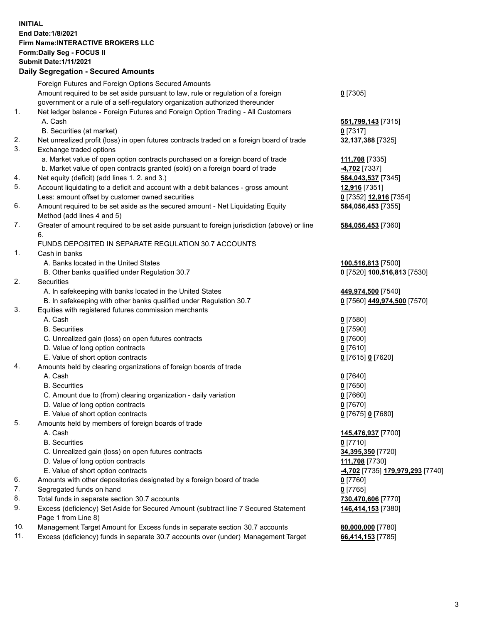## **INITIAL End Date:1/8/2021 Firm Name:INTERACTIVE BROKERS LLC Form:Daily Seg - FOCUS II Submit Date:1/11/2021 Daily Segregation - Secured Amounts**

|     | Daily Segregation - Secured Amounts                                                                |                                               |
|-----|----------------------------------------------------------------------------------------------------|-----------------------------------------------|
|     | Foreign Futures and Foreign Options Secured Amounts                                                |                                               |
|     | Amount required to be set aside pursuant to law, rule or regulation of a foreign                   | $0$ [7305]                                    |
|     | government or a rule of a self-regulatory organization authorized thereunder                       |                                               |
| 1.  | Net ledger balance - Foreign Futures and Foreign Option Trading - All Customers                    |                                               |
|     | A. Cash                                                                                            | 551,799,143 [7315]                            |
|     | B. Securities (at market)                                                                          | $0$ [7317]                                    |
| 2.  | Net unrealized profit (loss) in open futures contracts traded on a foreign board of trade          | 32,137,388 [7325]                             |
| 3.  | Exchange traded options                                                                            |                                               |
|     | a. Market value of open option contracts purchased on a foreign board of trade                     | 111,708 [7335]                                |
|     | b. Market value of open contracts granted (sold) on a foreign board of trade                       | 4,702 [7337]                                  |
| 4.  | Net equity (deficit) (add lines 1. 2. and 3.)                                                      | 584,043,537 [7345]                            |
| 5.  | Account liquidating to a deficit and account with a debit balances - gross amount                  | 12,916 [7351]                                 |
|     | Less: amount offset by customer owned securities                                                   | 0 [7352] 12,916 [7354]                        |
| 6.  | Amount required to be set aside as the secured amount - Net Liquidating Equity                     | 584,056,453 [7355]                            |
|     | Method (add lines 4 and 5)                                                                         |                                               |
| 7.  | Greater of amount required to be set aside pursuant to foreign jurisdiction (above) or line        | 584,056,453 [7360]                            |
|     | 6.                                                                                                 |                                               |
|     | FUNDS DEPOSITED IN SEPARATE REGULATION 30.7 ACCOUNTS                                               |                                               |
| 1.  | Cash in banks                                                                                      |                                               |
|     | A. Banks located in the United States                                                              | 100,516,813 [7500]                            |
|     | B. Other banks qualified under Regulation 30.7                                                     | 0 [7520] 100,516,813 [7530]                   |
| 2.  | Securities                                                                                         |                                               |
|     | A. In safekeeping with banks located in the United States                                          | 449,974,500 [7540]                            |
|     | B. In safekeeping with other banks qualified under Regulation 30.7                                 | 0 [7560] 449,974,500 [7570]                   |
| 3.  | Equities with registered futures commission merchants                                              |                                               |
|     | A. Cash                                                                                            | $0$ [7580]                                    |
|     | <b>B.</b> Securities                                                                               | $0$ [7590]                                    |
|     | C. Unrealized gain (loss) on open futures contracts                                                | $0$ [7600]                                    |
|     | D. Value of long option contracts                                                                  | $0$ [7610]                                    |
|     | E. Value of short option contracts                                                                 | 0 [7615] 0 [7620]                             |
| 4.  | Amounts held by clearing organizations of foreign boards of trade                                  |                                               |
|     | A. Cash                                                                                            | $0$ [7640]                                    |
|     | <b>B.</b> Securities                                                                               | $0$ [7650]                                    |
|     | C. Amount due to (from) clearing organization - daily variation                                    | $0$ [7660]                                    |
|     | D. Value of long option contracts                                                                  | $0$ [7670]                                    |
|     | E. Value of short option contracts                                                                 | 0 [7675] 0 [7680]                             |
| 5.  | Amounts held by members of foreign boards of trade                                                 |                                               |
|     | A. Cash                                                                                            | 145,476,937 [7700]                            |
|     | <b>B.</b> Securities                                                                               | $0$ [7710]                                    |
|     | C. Unrealized gain (loss) on open futures contracts                                                | 34,395,350 [7720]                             |
|     | D. Value of long option contracts                                                                  | 111,708 [7730]                                |
| 6.  | E. Value of short option contracts                                                                 | <mark>-4,702</mark> [7735] 179,979,293 [7740] |
| 7.  | Amounts with other depositories designated by a foreign board of trade<br>Segregated funds on hand | 0 [7760]                                      |
| 8.  | Total funds in separate section 30.7 accounts                                                      | $0$ [7765]                                    |
| 9.  | Excess (deficiency) Set Aside for Secured Amount (subtract line 7 Secured Statement                | 730,470,606 [7770]                            |
|     | Page 1 from Line 8)                                                                                | 146,414,153 [7380]                            |
| 10. | Management Target Amount for Excess funds in separate section 30.7 accounts                        | 80,000,000 [7780]                             |
| 11. | Excess (deficiency) funds in separate 30.7 accounts over (under) Management Target                 | 66,414,153 [7785]                             |
|     |                                                                                                    |                                               |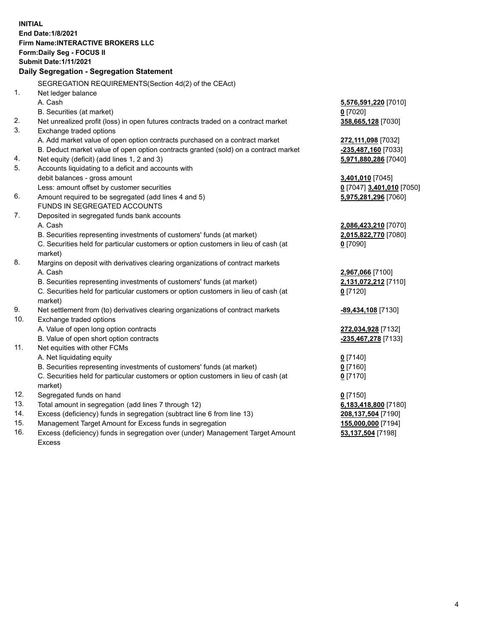**INITIAL End Date:1/8/2021 Firm Name:INTERACTIVE BROKERS LLC Form:Daily Seg - FOCUS II Submit Date:1/11/2021 Daily Segregation - Segregation Statement** SEGREGATION REQUIREMENTS(Section 4d(2) of the CEAct) 1. Net ledger balance A. Cash **5,576,591,220** [7010] B. Securities (at market) **0** [7020] 2. Net unrealized profit (loss) in open futures contracts traded on a contract market **358,665,128** [7030] 3. Exchange traded options A. Add market value of open option contracts purchased on a contract market **272,111,098** [7032] B. Deduct market value of open option contracts granted (sold) on a contract market **-235,487,160** [7033] 4. Net equity (deficit) (add lines 1, 2 and 3) **5,971,880,286** [7040] 5. Accounts liquidating to a deficit and accounts with debit balances - gross amount **3,401,010** [7045] Less: amount offset by customer securities **0** [7047] **3,401,010** [7050] 6. Amount required to be segregated (add lines 4 and 5) **5,975,281,296** [7060] FUNDS IN SEGREGATED ACCOUNTS 7. Deposited in segregated funds bank accounts A. Cash **2,086,423,210** [7070] B. Securities representing investments of customers' funds (at market) **2,015,822,770** [7080] C. Securities held for particular customers or option customers in lieu of cash (at market) **0** [7090] 8. Margins on deposit with derivatives clearing organizations of contract markets A. Cash **2,967,066** [7100] B. Securities representing investments of customers' funds (at market) **2,131,072,212** [7110] C. Securities held for particular customers or option customers in lieu of cash (at market) **0** [7120] 9. Net settlement from (to) derivatives clearing organizations of contract markets **-89,434,108** [7130] 10. Exchange traded options A. Value of open long option contracts **272,034,928** [7132] B. Value of open short option contracts **-235,467,278** [7133] 11. Net equities with other FCMs A. Net liquidating equity **0** [7140] B. Securities representing investments of customers' funds (at market) **0** [7160] C. Securities held for particular customers or option customers in lieu of cash (at market) **0** [7170] 12. Segregated funds on hand **0** [7150] 13. Total amount in segregation (add lines 7 through 12) **6,183,418,800** [7180] 14. Excess (deficiency) funds in segregation (subtract line 6 from line 13) **208,137,504** [7190] 15. Management Target Amount for Excess funds in segregation **155,000,000** [7194] **53,137,504** [7198]

16. Excess (deficiency) funds in segregation over (under) Management Target Amount Excess